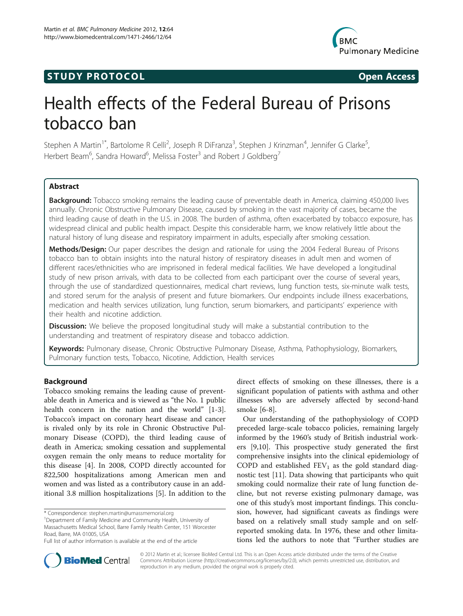# **STUDY PROTOCOL CONSUMING THE CONSUMING OPEN ACCESS**



# Health effects of the Federal Bureau of Prisons tobacco ban

Stephen A Martin<sup>1\*</sup>, Bartolome R Celli<sup>2</sup>, Joseph R DiFranza<sup>3</sup>, Stephen J Krinzman<sup>4</sup>, Jennifer G Clarke<sup>5</sup> , Herbert Beam<sup>6</sup>, Sandra Howard<sup>6</sup>, Melissa Foster<sup>3</sup> and Robert J Goldberg<sup>7</sup>

# Abstract

Background: Tobacco smoking remains the leading cause of preventable death in America, claiming 450,000 lives annually. Chronic Obstructive Pulmonary Disease, caused by smoking in the vast majority of cases, became the third leading cause of death in the U.S. in 2008. The burden of asthma, often exacerbated by tobacco exposure, has widespread clinical and public health impact. Despite this considerable harm, we know relatively little about the natural history of lung disease and respiratory impairment in adults, especially after smoking cessation.

Methods/Design: Our paper describes the design and rationale for using the 2004 Federal Bureau of Prisons tobacco ban to obtain insights into the natural history of respiratory diseases in adult men and women of different races/ethnicities who are imprisoned in federal medical facilities. We have developed a longitudinal study of new prison arrivals, with data to be collected from each participant over the course of several years, through the use of standardized questionnaires, medical chart reviews, lung function tests, six-minute walk tests, and stored serum for the analysis of present and future biomarkers. Our endpoints include illness exacerbations, medication and health services utilization, lung function, serum biomarkers, and participants' experience with their health and nicotine addiction.

**Discussion:** We believe the proposed longitudinal study will make a substantial contribution to the understanding and treatment of respiratory disease and tobacco addiction.

Keywords: Pulmonary disease, Chronic Obstructive Pulmonary Disease, Asthma, Pathophysiology, Biomarkers, Pulmonary function tests, Tobacco, Nicotine, Addiction, Health services

# Background

Tobacco smoking remains the leading cause of preventable death in America and is viewed as "the No. 1 public health concern in the nation and the world" [[1-3](#page-3-0)]. Tobacco's impact on coronary heart disease and cancer is rivaled only by its role in Chronic Obstructive Pulmonary Disease (COPD), the third leading cause of death in America; smoking cessation and supplemental oxygen remain the only means to reduce mortality for this disease [\[4](#page-3-0)]. In 2008, COPD directly accounted for 822,500 hospitalizations among American men and women and was listed as a contributory cause in an additional 3.8 million hospitalizations [\[5](#page-3-0)]. In addition to the

direct effects of smoking on these illnesses, there is a significant population of patients with asthma and other illnesses who are adversely affected by second-hand smoke [\[6](#page-3-0)-[8\]](#page-3-0).

Our understanding of the pathophysiology of COPD preceded large-scale tobacco policies, remaining largely informed by the 1960's study of British industrial workers [[9,10\]](#page-3-0). This prospective study generated the first comprehensive insights into the clinical epidemiology of COPD and established  $FEV<sub>1</sub>$  as the gold standard diagnostic test [\[11](#page-3-0)]. Data showing that participants who quit smoking could normalize their rate of lung function decline, but not reverse existing pulmonary damage, was one of this study's most important findings. This conclusion, however, had significant caveats as findings were based on a relatively small study sample and on selfreported smoking data. In 1976, these and other limitations led the authors to note that "Further studies are



© 2012 Martin et al.; licensee BioMed Central Ltd. This is an Open Access article distributed under the terms of the Creative Commons Attribution License [\(http://creativecommons.org/licenses/by/2.0\)](http://creativecommons.org/licenses/by/2.0), which permits unrestricted use, distribution, and reproduction in any medium, provided the original work is properly cited.

<sup>\*</sup> Correspondence: [stephen.martin@umassmemorial.org](mailto:stephen.martin@umassmemorial.org) <sup>1</sup>

Department of Family Medicine and Community Health, University of Massachusetts Medical School, Barre Family Health Center, 151 Worcester Road, Barre, MA 01005, USA

Full list of author information is available at the end of the article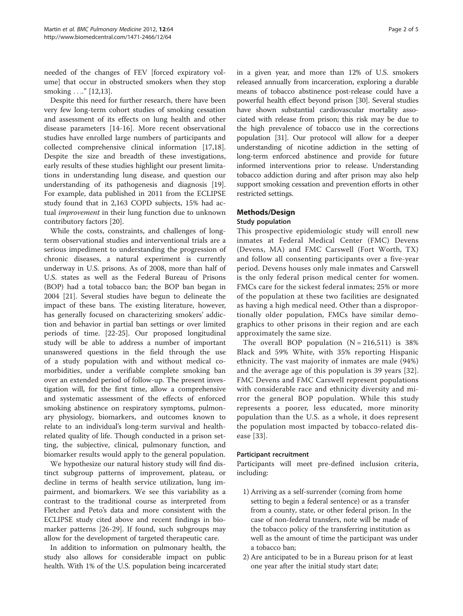needed of the changes of FEV [forced expiratory volume] that occur in obstructed smokers when they stop smoking ...." [\[12,13](#page-3-0)].

Despite this need for further research, there have been very few long-term cohort studies of smoking cessation and assessment of its effects on lung health and other disease parameters [\[14](#page-3-0)-[16](#page-3-0)]. More recent observational studies have enrolled large numbers of participants and collected comprehensive clinical information [\[17,18](#page-3-0)]. Despite the size and breadth of these investigations, early results of these studies highlight our present limitations in understanding lung disease, and question our understanding of its pathogenesis and diagnosis [\[19](#page-3-0)]. For example, data published in 2011 from the ECLIPSE study found that in 2,163 COPD subjects, 15% had actual improvement in their lung function due to unknown contributory factors [\[20](#page-4-0)].

While the costs, constraints, and challenges of longterm observational studies and interventional trials are a serious impediment to understanding the progression of chronic diseases, a natural experiment is currently underway in U.S. prisons. As of 2008, more than half of U.S. states as well as the Federal Bureau of Prisons (BOP) had a total tobacco ban; the BOP ban began in 2004 [\[21\]](#page-4-0). Several studies have begun to delineate the impact of these bans. The existing literature, however, has generally focused on characterizing smokers' addiction and behavior in partial ban settings or over limited periods of time. [\[22](#page-4-0)-[25\]](#page-4-0). Our proposed longitudinal study will be able to address a number of important unanswered questions in the field through the use of a study population with and without medical comorbidities, under a verifiable complete smoking ban over an extended period of follow-up. The present investigation will, for the first time, allow a comprehensive and systematic assessment of the effects of enforced smoking abstinence on respiratory symptoms, pulmonary physiology, biomarkers, and outcomes known to relate to an individual's long-term survival and healthrelated quality of life. Though conducted in a prison setting, the subjective, clinical, pulmonary function, and biomarker results would apply to the general population.

We hypothesize our natural history study will find distinct subgroup patterns of improvement, plateau, or decline in terms of health service utilization, lung impairment, and biomarkers. We see this variability as a contrast to the traditional course as interpreted from Fletcher and Peto's data and more consistent with the ECLIPSE study cited above and recent findings in biomarker patterns [[26-29](#page-4-0)]. If found, such subgroups may allow for the development of targeted therapeutic care.

In addition to information on pulmonary health, the study also allows for considerable impact on public health. With 1% of the U.S. population being incarcerated in a given year, and more than 12% of U.S. smokers released annually from incarceration, exploring a durable means of tobacco abstinence post-release could have a powerful health effect beyond prison [[30](#page-4-0)]. Several studies have shown substantial cardiovascular mortality associated with release from prison; this risk may be due to the high prevalence of tobacco use in the corrections population [[31](#page-4-0)]. Our protocol will allow for a deeper understanding of nicotine addiction in the setting of long-term enforced abstinence and provide for future informed interventions prior to release. Understanding tobacco addiction during and after prison may also help support smoking cessation and prevention efforts in other restricted settings.

# Methods/Design

# Study population

This prospective epidemiologic study will enroll new inmates at Federal Medical Center (FMC) Devens (Devens, MA) and FMC Carswell (Fort Worth, TX) and follow all consenting participants over a five-year period. Devens houses only male inmates and Carswell is the only federal prison medical center for women. FMCs care for the sickest federal inmates; 25% or more of the population at these two facilities are designated as having a high medical need. Other than a disproportionally older population, FMCs have similar demographics to other prisons in their region and are each approximately the same size.

The overall BOP population  $(N = 216,511)$  is 38% Black and 59% White, with 35% reporting Hispanic ethnicity. The vast majority of inmates are male (94%) and the average age of this population is 39 years [[32](#page-4-0)]. FMC Devens and FMC Carswell represent populations with considerable race and ethnicity diversity and mirror the general BOP population. While this study represents a poorer, less educated, more minority population than the U.S. as a whole, it does represent the population most impacted by tobacco-related disease [[33\]](#page-4-0).

# Participant recruitment

Participants will meet pre-defined inclusion criteria, including:

- 1) Arriving as a self-surrender (coming from home setting to begin a federal sentence) or as a transfer from a county, state, or other federal prison. In the case of non-federal transfers, note will be made of the tobacco policy of the transferring institution as well as the amount of time the participant was under a tobacco ban;
- 2) Are anticipated to be in a Bureau prison for at least one year after the initial study start date;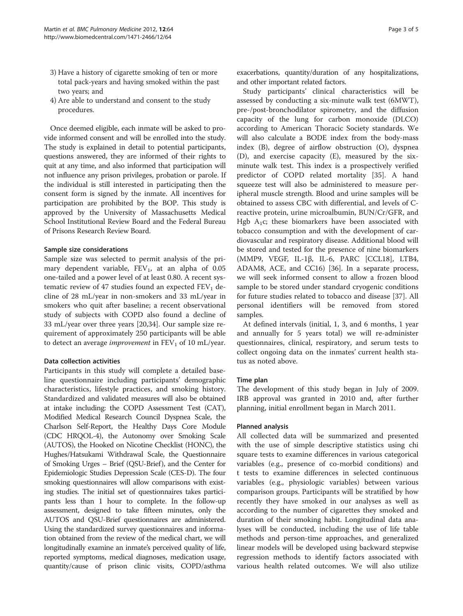- 3) Have a history of cigarette smoking of ten or more total pack-years and having smoked within the past two years; and
- 4) Are able to understand and consent to the study procedures.

Once deemed eligible, each inmate will be asked to provide informed consent and will be enrolled into the study. The study is explained in detail to potential participants, questions answered, they are informed of their rights to quit at any time, and also informed that participation will not influence any prison privileges, probation or parole. If the individual is still interested in participating then the consent form is signed by the inmate. All incentives for participation are prohibited by the BOP. This study is approved by the University of Massachusetts Medical School Institutional Review Board and the Federal Bureau of Prisons Research Review Board.

## Sample size considerations

Sample size was selected to permit analysis of the primary dependent variable,  $FEV<sub>1</sub>$ , at an alpha of 0.05 one-tailed and a power level of at least 0.80. A recent systematic review of 47 studies found an expected  $FEV<sub>1</sub>$  decline of 28 mL/year in non-smokers and 33 mL/year in smokers who quit after baseline; a recent observational study of subjects with COPD also found a decline of 33 mL/year over three years [[20,34\]](#page-4-0). Our sample size requirement of approximately 250 participants will be able to detect an average *improvement* in  $FEV<sub>1</sub>$  of 10 mL/year.

#### Data collection activities

Participants in this study will complete a detailed baseline questionnaire including participants' demographic characteristics, lifestyle practices, and smoking history. Standardized and validated measures will also be obtained at intake including: the COPD Assessment Test (CAT), Modified Medical Research Council Dyspnea Scale, the Charlson Self-Report, the Healthy Days Core Module (CDC HRQOL-4), the Autonomy over Smoking Scale (AUTOS), the Hooked on Nicotine Checklist (HONC), the Hughes/Hatsukami Withdrawal Scale, the Questionnaire of Smoking Urges – Brief (QSU-Brief ), and the Center for Epidemiologic Studies Depression Scale (CES-D). The four smoking questionnaires will allow comparisons with existing studies. The initial set of questionnaires takes participants less than 1 hour to complete. In the follow-up assessment, designed to take fifteen minutes, only the AUTOS and QSU-Brief questionnaires are administered. Using the standardized survey questionnaires and information obtained from the review of the medical chart, we will longitudinally examine an inmate's perceived quality of life, reported symptoms, medical diagnoses, medication usage, quantity/cause of prison clinic visits, COPD/asthma exacerbations, quantity/duration of any hospitalizations, and other important related factors.

Study participants' clinical characteristics will be assessed by conducting a six-minute walk test (6MWT), pre-/post-bronchodilator spirometry, and the diffusion capacity of the lung for carbon monoxide (DLCO) according to American Thoracic Society standards. We will also calculate a BODE index from the body-mass index (B), degree of airflow obstruction (O), dyspnea (D), and exercise capacity (E), measured by the sixminute walk test. This index is a prospectively verified predictor of COPD related mortality [[35](#page-4-0)]. A hand squeeze test will also be administered to measure peripheral muscle strength. Blood and urine samples will be obtained to assess CBC with differential, and levels of Creactive protein, urine microalbumin, BUN/Cr/GFR, and Hgb  $A_1c$ ; these biomarkers have been associated with tobacco consumption and with the development of cardiovascular and respiratory disease. Additional blood will be stored and tested for the presence of nine biomarkers (MMP9, VEGF, IL-1β, IL-6, PARC [CCL18], LTB4, ADAM8, ACE, and CC16) [[36\]](#page-4-0). In a separate process, we will seek informed consent to allow a frozen blood sample to be stored under standard cryogenic conditions for future studies related to tobacco and disease [\[37](#page-4-0)]. All personal identifiers will be removed from stored samples.

At defined intervals (initial, 1, 3, and 6 months, 1 year and annually for 5 years total) we will re-administer questionnaires, clinical, respiratory, and serum tests to collect ongoing data on the inmates' current health status as noted above.

# Time plan

The development of this study began in July of 2009. IRB approval was granted in 2010 and, after further planning, initial enrollment began in March 2011.

## Planned analysis

All collected data will be summarized and presented with the use of simple descriptive statistics using chi square tests to examine differences in various categorical variables (e.g., presence of co-morbid conditions) and t tests to examine differences in selected continuous variables (e.g., physiologic variables) between various comparison groups. Participants will be stratified by how recently they have smoked in our analyses as well as according to the number of cigarettes they smoked and duration of their smoking habit. Longitudinal data analyses will be conducted, including the use of life table methods and person-time approaches, and generalized linear models will be developed using backward stepwise regression methods to identify factors associated with various health related outcomes. We will also utilize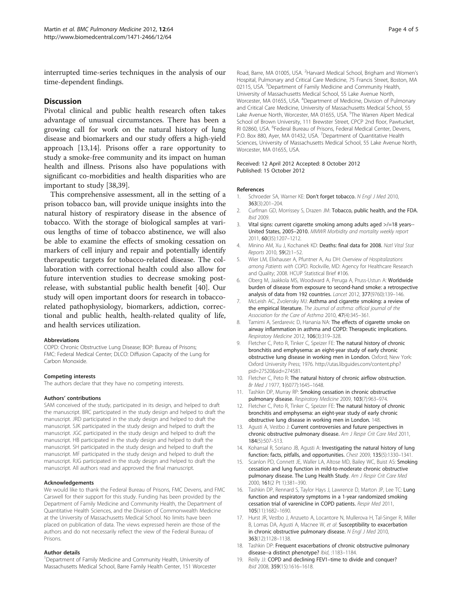<span id="page-3-0"></span>interrupted time-series techniques in the analysis of our time-dependent findings.

## **Discussion**

Pivotal clinical and public health research often takes advantage of unusual circumstances. There has been a growing call for work on the natural history of lung disease and biomarkers and our study offers a high-yield approach [13,14]. Prisons offer a rare opportunity to study a smoke-free community and its impact on human health and illness. Prisons also have populations with significant co-morbidities and health disparities who are important to study [[38,39\]](#page-4-0).

This comprehensive assessment, all in the setting of a prison tobacco ban, will provide unique insights into the natural history of respiratory disease in the absence of tobacco. With the storage of biological samples at various lengths of time of tobacco abstinence, we will also be able to examine the effects of smoking cessation on markers of cell injury and repair and potentially identify therapeutic targets for tobacco-related disease. The collaboration with correctional health could also allow for future intervention studies to decrease smoking postrelease, with substantial public health benefit [[40](#page-4-0)]. Our study will open important doors for research in tobaccorelated pathophysiology, biomarkers, addiction, correctional and public health, health-related quality of life, and health services utilization.

#### Abbreviations

COPD: Chronic Obstructive Lung Disease; BOP: Bureau of Prisons; FMC: Federal Medical Center; DLCO: Diffusion Capacity of the Lung for Carbon Monoxide.

#### Competing interests

The authors declare that they have no competing interests.

#### Authors' contributions

SAM conceived of the study, participated in its design, and helped to draft the manuscript. BRC participated in the study design and helped to draft the manuscript. JRD participated in the study design and helped to draft the manuscript. SJK participated in the study design and helped to draft the manuscript. JGC participated in the study design and helped to draft the manuscript. HB participated in the study design and helped to draft the manuscript. SH participated in the study design and helped to draft the manuscript. MF participated in the study design and helped to draft the manuscript. RJG participated in the study design and helped to draft the manuscript. All authors read and approved the final manuscript.

#### Acknowledgements

We would like to thank the Federal Bureau of Prisons, FMC Devens, and FMC Carswell for their support for this study. Funding has been provided by the Department of Family Medicine and Community Health, the Department of Quantitative Health Sciences, and the Division of Commonwealth Medicine at the University of Massachusetts Medical School. No limits have been placed on publication of data. The views expressed herein are those of the authors and do not necessarily reflect the view of the Federal Bureau of Prisons.

#### Author details

<sup>1</sup>Department of Family Medicine and Community Health, University of Massachusetts Medical School, Barre Family Health Center, 151 Worcester

Road, Barre, MA 01005, USA. <sup>2</sup> Harvard Medical School, Brigham and Women's Hospital, Pulmonary and Critical Care Medicine, 75 Francis Street, Boston, MA 02115, USA. <sup>3</sup>Department of Family Medicine and Community Health University of Massachusetts Medical School, 55 Lake Avenue North, Worcester, MA 01655, USA. <sup>4</sup>Department of Medicine, Division of Pulmonary and Critical Care Medicine, University of Massachusetts Medical School, 55 Lake Avenue North, Worcester, MA 01655, USA. <sup>5</sup>The Warren Alpert Medical School of Brown University, 111 Brewster Street, CPCP 2nd floor, Pawtucket, RI 02860, USA. <sup>6</sup>Federal Bureau of Prisons, Federal Medical Center, Devens P.O. Box 880, Ayer, MA 01432, USA. <sup>7</sup>Department of Quantitative Health Sciences, University of Massachusetts Medical School, 55 Lake Avenue North, Worcester, MA 01655, USA.

#### Received: 12 April 2012 Accepted: 8 October 2012 Published: 15 October 2012

#### References

- Schroeder SA, Warner KE: Don't forget tobacco. N Engl J Med 2010, 363(3):201–204.
- 2. Curfman GD, Morrissey S, Drazen JM: Tobacco, public health, and the FDA. Ibid 2009.
- 3. Vital signs: current cigarette smoking among adults aged >/=18 years-- United States, 2005–2010. MMWR Morbidity and mortality weekly report 2011, 60(35):1207–1212.
- 4. Minino AM, Xu J, Kochanek KD: Deaths: final data for 2008. Natl Vital Stat Reports 2010, 59(2):1–52.
- 5. Wier LM, Elixhauser A, Pfuntner A, Au DH: Overview of Hospitalizations among Patients with COPD. Rockville, MD: Agency for Healthcare Research and Quality; 2008. HCUP Statistical Brief #106.
- 6. Oberg M, Jaakkola MS, Woodward A, Peruga A, Pruss-Ustun A: Worldwide burden of disease from exposure to second-hand smoke: a retrospective analysis of data from 192 countries. Lancet 2012, 377(9760):139-146.
- 7. McLeish AC, Zvolensky MJ: Asthma and cigarette smoking: a review of the empirical literature. The Journal of asthma: official journal of the Association for the Care of Asthma 2010, 47(4):345–361.
- 8. Tamimi A, Serdarevic D, Hanania NA: The effects of cigarette smoke on airway inflammation in asthma and COPD: Therapeutic implications. Respiratory Medicine 2012, 106(3):319–328.
- Fletcher C, Peto R, Tinker C, Speizer FE: The natural history of chronic bronchitis and emphysema: an eight-year study of early chronic obstructive lung disease in working men in London. Oxford; New York: Oxford University Press; 1976. [http://utas.libguides.com/content.php?](http://www.utas.libguides.com/content.php?pid=27520&sid=274581) [pid=27520&sid=274581.](http://www.utas.libguides.com/content.php?pid=27520&sid=274581)
- 10. Fletcher C, Peto R: The natural history of chronic airflow obstruction. Br Med J 1977, 1(6077):1645–1648.
- 11. Tashkin DP, Murray RP: Smoking cessation in chronic obstructive pulmonary disease. Respiratory Medicine 2009, 103(7):963–974.
- 12. Fletcher C, Peto R, Tinker C, Speizer FE: The natural history of chronic bronchitis and emphysema: an eight-year study of early chronic obstructive lung disease in working men in London. 148.
- 13. Agusti A, Vestbo J: Current controversies and future perspectives in chronic obstructive pulmonary disease. Am J Respir Crit Care Med 2011, 184(5):507–513.
- 14. Kohansal R, Soriano JB, Agusti A: Investigating the natural history of lung function: facts, pitfalls, and opportunities. Chest 2009, 135(5):1330–1341.
- 15. Scanlon PD, Connett JE, Waller LA, Altose MD, Bailey WC, Buist AS: Smoking cessation and lung function in mild-to-moderate chronic obstructive pulmonary disease. The Lung Health Study. Am J Respir Crit Care Med 2000, 161(2 Pt 1):381–390.
- 16. Tashkin DP, Rennard S, Taylor Hays J, Lawrence D, Marton JP, Lee TC: Lung function and respiratory symptoms in a 1-year randomized smoking cessation trial of varenicline in COPD patients. Respir Med 2011, 105(11):1682–1690.
- 17. Hurst JR, Vestbo J, Anzueto A, Locantore N, Mullerova H, Tal-Singer R, Miller B, Lomas DA, Agusti A, Macnee W, et al: Susceptibility to exacerbation in chronic obstructive pulmonary disease. N Engl J Med 2010, 363(12):1128–1138.
- 18. Tashkin DP: Frequent exacerbations of chronic obstructive pulmonary disease--a distinct phenotype? Ibid, :1183–1184.
- 19. Reilly JJ: COPD and declining FEV1–time to divide and conquer? Ibid 2008, 359(15):1616–1618.